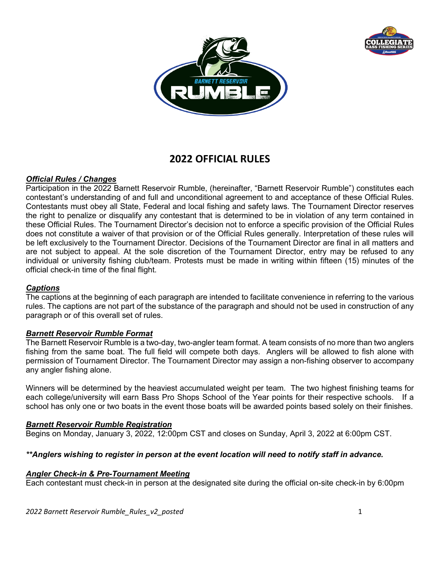



# **2022 OFFICIAL RULES**

# *Official Rules / Changes*

Participation in the 2022 Barnett Reservoir Rumble, (hereinafter, "Barnett Reservoir Rumble") constitutes each contestant's understanding of and full and unconditional agreement to and acceptance of these Official Rules. Contestants must obey all State, Federal and local fishing and safety laws. The Tournament Director reserves the right to penalize or disqualify any contestant that is determined to be in violation of any term contained in these Official Rules. The Tournament Director's decision not to enforce a specific provision of the Official Rules does not constitute a waiver of that provision or of the Official Rules generally. Interpretation of these rules will be left exclusively to the Tournament Director. Decisions of the Tournament Director are final in all matters and are not subject to appeal. At the sole discretion of the Tournament Director, entry may be refused to any individual or university fishing club/team. Protests must be made in writing within fifteen (15) minutes of the official check-in time of the final flight.

# *Captions*

The captions at the beginning of each paragraph are intended to facilitate convenience in referring to the various rules. The captions are not part of the substance of the paragraph and should not be used in construction of any paragraph or of this overall set of rules.

# *Barnett Reservoir Rumble Format*

The Barnett Reservoir Rumble is a two-day, two-angler team format. A team consists of no more than two anglers fishing from the same boat. The full field will compete both days. Anglers will be allowed to fish alone with permission of Tournament Director. The Tournament Director may assign a non-fishing observer to accompany any angler fishing alone.

Winners will be determined by the heaviest accumulated weight per team. The two highest finishing teams for each college/university will earn Bass Pro Shops School of the Year points for their respective schools. If a school has only one or two boats in the event those boats will be awarded points based solely on their finishes.

# *Barnett Reservoir Rumble Registration*

Begins on Monday, January 3, 2022, 12:00pm CST and closes on Sunday, April 3, 2022 at 6:00pm CST.

# *\*\*Anglers wishing to register in person at the event location will need to notify staff in advance.*

# *Angler Check-in & Pre-Tournament Meeting*

Each contestant must check-in in person at the designated site during the official on-site check-in by 6:00pm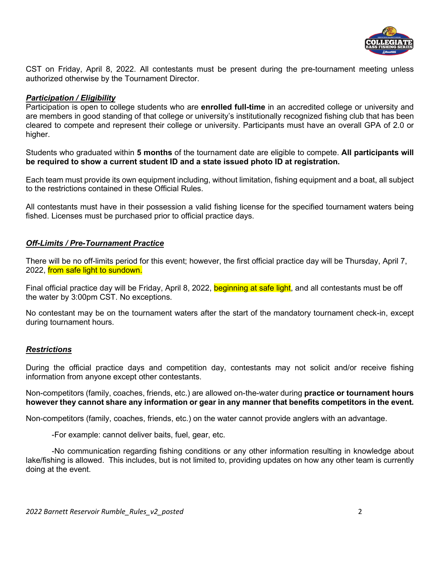

CST on Friday, April 8, 2022. All contestants must be present during the pre-tournament meeting unless authorized otherwise by the Tournament Director.

## *Participation / Eligibility*

Participation is open to college students who are **enrolled full-time** in an accredited college or university and are members in good standing of that college or university's institutionally recognized fishing club that has been cleared to compete and represent their college or university. Participants must have an overall GPA of 2.0 or higher.

Students who graduated within **5 months** of the tournament date are eligible to compete. **All participants will be required to show a current student ID and a state issued photo ID at registration.** 

Each team must provide its own equipment including, without limitation, fishing equipment and a boat, all subject to the restrictions contained in these Official Rules.

All contestants must have in their possession a valid fishing license for the specified tournament waters being fished. Licenses must be purchased prior to official practice days.

## *Off-Limits / Pre-Tournament Practice*

There will be no off-limits period for this event; however, the first official practice day will be Thursday, April 7, 2022, from safe light to sundown.

Final official practice day will be Friday, April 8, 2022, beginning at safe light, and all contestants must be off the water by 3:00pm CST. No exceptions.

No contestant may be on the tournament waters after the start of the mandatory tournament check-in, except during tournament hours.

# *Restrictions*

During the official practice days and competition day, contestants may not solicit and/or receive fishing information from anyone except other contestants.

Non-competitors (family, coaches, friends, etc.) are allowed on-the-water during **practice or tournament hours however they cannot share any information or gear in any manner that benefits competitors in the event.** 

Non-competitors (family, coaches, friends, etc.) on the water cannot provide anglers with an advantage.

-For example: cannot deliver baits, fuel, gear, etc.

 -No communication regarding fishing conditions or any other information resulting in knowledge about lake/fishing is allowed. This includes, but is not limited to, providing updates on how any other team is currently doing at the event.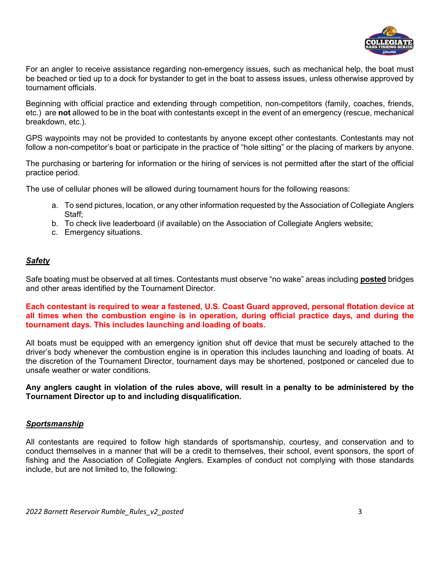

For an angler to receive assistance regarding non-emergency issues, such as mechanical help, the boat must be beached or tied up to a dock for bystander to get in the boat to assess issues, unless otherwise approved by tournament officials.

Beginning with official practice and extending through competition, non-competitors (family, coaches, friends, etc.) are **not** allowed to be in the boat with contestants except in the event of an emergency (rescue, mechanical breakdown, etc.).

GPS waypoints may not be provided to contestants by anyone except other contestants. Contestants may not follow a non-competitor's boat or participate in the practice of "hole sitting" or the placing of markers by anyone.

The purchasing or bartering for information or the hiring of services is not permitted after the start of the official practice period.

The use of cellular phones will be allowed during tournament hours for the following reasons:

- a. To send pictures, location, or any other information requested by the Association of Collegiate Anglers Staff;
- b. To check live leaderboard (if available) on the Association of Collegiate Anglers website;
- c. Emergency situations.

# *Safety*

Safe boating must be observed at all times. Contestants must observe "no wake" areas including **posted** bridges and other areas identified by the Tournament Director.

## **Each contestant is required to wear a fastened, U.S. Coast Guard approved, personal flotation device at all times when the combustion engine is in operation, during official practice days, and during the tournament days. This includes launching and loading of boats.**

All boats must be equipped with an emergency ignition shut off device that must be securely attached to the driver's body whenever the combustion engine is in operation this includes launching and loading of boats. At the discretion of the Tournament Director, tournament days may be shortened, postponed or canceled due to unsafe weather or water conditions.

**Any anglers caught in violation of the rules above, will result in a penalty to be administered by the Tournament Director up to and including disqualification.**

#### *Sportsmanship*

All contestants are required to follow high standards of sportsmanship, courtesy, and conservation and to conduct themselves in a manner that will be a credit to themselves, their school, event sponsors, the sport of fishing and the Association of Collegiate Anglers. Examples of conduct not complying with those standards include, but are not limited to, the following: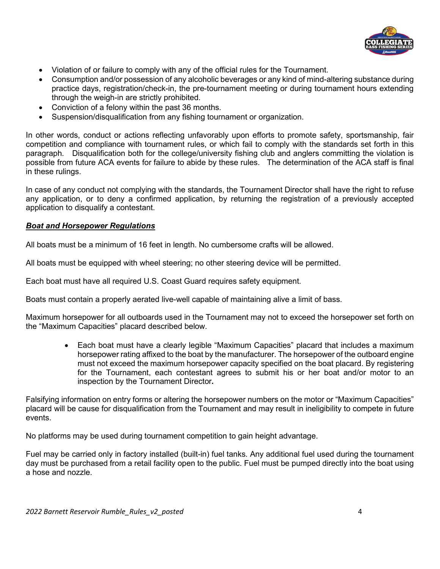

- Violation of or failure to comply with any of the official rules for the Tournament.
- Consumption and/or possession of any alcoholic beverages or any kind of mind-altering substance during practice days, registration/check-in, the pre-tournament meeting or during tournament hours extending through the weigh-in are strictly prohibited.
- Conviction of a felony within the past 36 months.
- Suspension/disqualification from any fishing tournament or organization.

In other words, conduct or actions reflecting unfavorably upon efforts to promote safety, sportsmanship, fair competition and compliance with tournament rules, or which fail to comply with the standards set forth in this paragraph. Disqualification both for the college/university fishing club and anglers committing the violation is possible from future ACA events for failure to abide by these rules. The determination of the ACA staff is final in these rulings.

In case of any conduct not complying with the standards, the Tournament Director shall have the right to refuse any application, or to deny a confirmed application, by returning the registration of a previously accepted application to disqualify a contestant.

#### *Boat and Horsepower Regulations*

All boats must be a minimum of 16 feet in length. No cumbersome crafts will be allowed.

All boats must be equipped with wheel steering; no other steering device will be permitted.

Each boat must have all required U.S. Coast Guard requires safety equipment.

Boats must contain a properly aerated live-well capable of maintaining alive a limit of bass.

Maximum horsepower for all outboards used in the Tournament may not to exceed the horsepower set forth on the "Maximum Capacities" placard described below.

• Each boat must have a clearly legible "Maximum Capacities" placard that includes a maximum horsepower rating affixed to the boat by the manufacturer. The horsepower of the outboard engine must not exceed the maximum horsepower capacity specified on the boat placard. By registering for the Tournament, each contestant agrees to submit his or her boat and/or motor to an inspection by the Tournament Director*.*

Falsifying information on entry forms or altering the horsepower numbers on the motor or "Maximum Capacities" placard will be cause for disqualification from the Tournament and may result in ineligibility to compete in future events.

No platforms may be used during tournament competition to gain height advantage.

Fuel may be carried only in factory installed (built-in) fuel tanks. Any additional fuel used during the tournament day must be purchased from a retail facility open to the public. Fuel must be pumped directly into the boat using a hose and nozzle.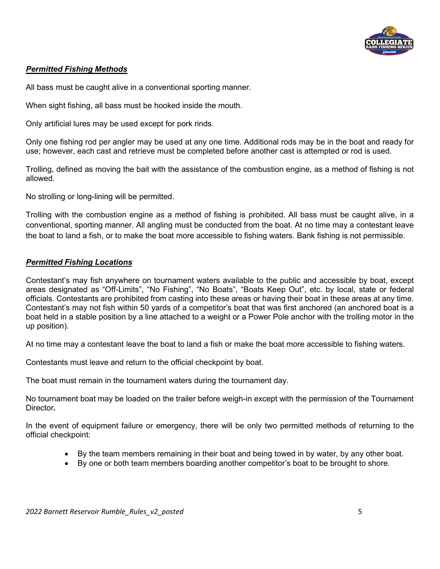

# *Permitted Fishing Methods*

All bass must be caught alive in a conventional sporting manner.

When sight fishing, all bass must be hooked inside the mouth.

Only artificial lures may be used except for pork rinds.

Only one fishing rod per angler may be used at any one time. Additional rods may be in the boat and ready for use; however, each cast and retrieve must be completed before another cast is attempted or rod is used.

Trolling, defined as moving the bait with the assistance of the combustion engine, as a method of fishing is not allowed.

No strolling or long-lining will be permitted.

Trolling with the combustion engine as a method of fishing is prohibited. All bass must be caught alive, in a conventional, sporting manner. All angling must be conducted from the boat. At no time may a contestant leave the boat to land a fish, or to make the boat more accessible to fishing waters. Bank fishing is not permissible.

# *Permitted Fishing Locations*

Contestant's may fish anywhere on tournament waters available to the public and accessible by boat, except areas designated as "Off-Limits", "No Fishing", "No Boats", "Boats Keep Out", etc. by local, state or federal officials. Contestants are prohibited from casting into these areas or having their boat in these areas at any time. Contestant's may not fish within 50 yards of a competitor's boat that was first anchored (an anchored boat is a boat held in a stable position by a line attached to a weight or a Power Pole anchor with the trolling motor in the up position).

At no time may a contestant leave the boat to land a fish or make the boat more accessible to fishing waters.

Contestants must leave and return to the official checkpoint by boat.

The boat must remain in the tournament waters during the tournament day.

No tournament boat may be loaded on the trailer before weigh-in except with the permission of the Tournament Director*.* 

In the event of equipment failure or emergency, there will be only two permitted methods of returning to the official checkpoint:

- By the team members remaining in their boat and being towed in by water, by any other boat.
- By one or both team members boarding another competitor's boat to be brought to shore.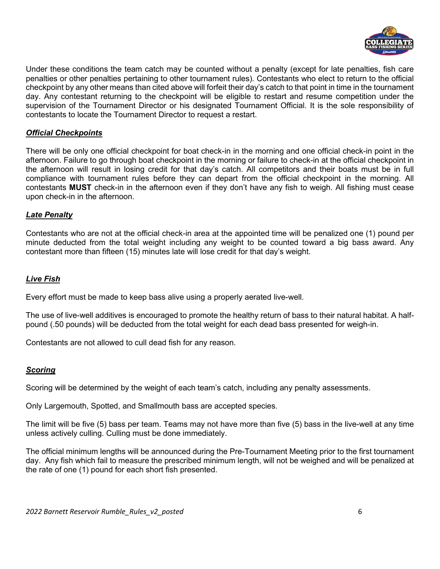

Under these conditions the team catch may be counted without a penalty (except for late penalties, fish care penalties or other penalties pertaining to other tournament rules). Contestants who elect to return to the official checkpoint by any other means than cited above will forfeit their day's catch to that point in time in the tournament day. Any contestant returning to the checkpoint will be eligible to restart and resume competition under the supervision of the Tournament Director or his designated Tournament Official. It is the sole responsibility of contestants to locate the Tournament Director to request a restart.

# *Official Checkpoints*

There will be only one official checkpoint for boat check-in in the morning and one official check-in point in the afternoon. Failure to go through boat checkpoint in the morning or failure to check-in at the official checkpoint in the afternoon will result in losing credit for that day's catch. All competitors and their boats must be in full compliance with tournament rules before they can depart from the official checkpoint in the morning. All contestants **MUST** check-in in the afternoon even if they don't have any fish to weigh. All fishing must cease upon check-in in the afternoon.

# *Late Penalty*

Contestants who are not at the official check-in area at the appointed time will be penalized one (1) pound per minute deducted from the total weight including any weight to be counted toward a big bass award. Any contestant more than fifteen (15) minutes late will lose credit for that day's weight.

## *Live Fish*

Every effort must be made to keep bass alive using a properly aerated live-well.

The use of live-well additives is encouraged to promote the healthy return of bass to their natural habitat. A halfpound (.50 pounds) will be deducted from the total weight for each dead bass presented for weigh-in.

Contestants are not allowed to cull dead fish for any reason.

#### *Scoring*

Scoring will be determined by the weight of each team's catch, including any penalty assessments.

Only Largemouth, Spotted, and Smallmouth bass are accepted species.

The limit will be five (5) bass per team. Teams may not have more than five (5) bass in the live-well at any time unless actively culling. Culling must be done immediately.

The official minimum lengths will be announced during the Pre-Tournament Meeting prior to the first tournament day. Any fish which fail to measure the prescribed minimum length, will not be weighed and will be penalized at the rate of one (1) pound for each short fish presented.